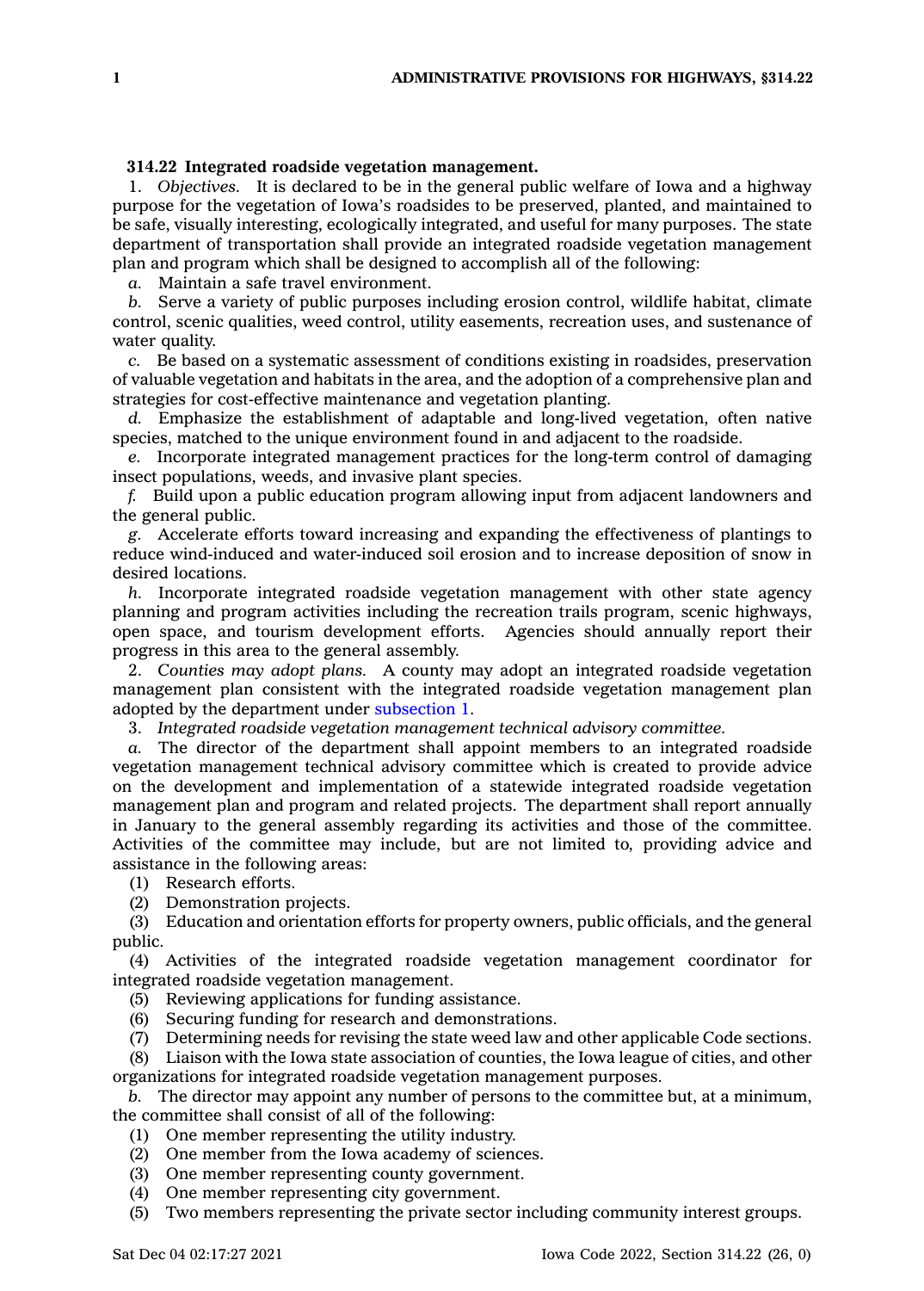## **314.22 Integrated roadside vegetation management.**

1. *Objectives.* It is declared to be in the general public welfare of Iowa and <sup>a</sup> highway purpose for the vegetation of Iowa's roadsides to be preserved, planted, and maintained to be safe, visually interesting, ecologically integrated, and useful for many purposes. The state department of transportation shall provide an integrated roadside vegetation management plan and program which shall be designed to accomplish all of the following:

*a.* Maintain <sup>a</sup> safe travel environment.

*b.* Serve <sup>a</sup> variety of public purposes including erosion control, wildlife habitat, climate control, scenic qualities, weed control, utility easements, recreation uses, and sustenance of water quality.

*c.* Be based on <sup>a</sup> systematic assessment of conditions existing in roadsides, preservation of valuable vegetation and habitats in the area, and the adoption of <sup>a</sup> comprehensive plan and strategies for cost-effective maintenance and vegetation planting.

*d.* Emphasize the establishment of adaptable and long-lived vegetation, often native species, matched to the unique environment found in and adjacent to the roadside.

*e.* Incorporate integrated management practices for the long-term control of damaging insect populations, weeds, and invasive plant species.

*f.* Build upon <sup>a</sup> public education program allowing input from adjacent landowners and the general public.

*g.* Accelerate efforts toward increasing and expanding the effectiveness of plantings to reduce wind-induced and water-induced soil erosion and to increase deposition of snow in desired locations.

*h.* Incorporate integrated roadside vegetation management with other state agency planning and program activities including the recreation trails program, scenic highways, open space, and tourism development efforts. Agencies should annually report their progress in this area to the general assembly.

2. *Counties may adopt plans.* A county may adopt an integrated roadside vegetation management plan consistent with the integrated roadside vegetation management plan adopted by the department under [subsection](https://www.legis.iowa.gov/docs/code/314.22.pdf) 1.

3. *Integrated roadside vegetation management technical advisory committee.*

*a.* The director of the department shall appoint members to an integrated roadside vegetation management technical advisory committee which is created to provide advice on the development and implementation of <sup>a</sup> statewide integrated roadside vegetation management plan and program and related projects. The department shall report annually in January to the general assembly regarding its activities and those of the committee. Activities of the committee may include, but are not limited to, providing advice and assistance in the following areas:

(1) Research efforts.

(2) Demonstration projects.

(3) Education and orientation efforts for property owners, public officials, and the general public.

(4) Activities of the integrated roadside vegetation management coordinator for integrated roadside vegetation management.

(5) Reviewing applications for funding assistance.

(6) Securing funding for research and demonstrations.

(7) Determining needs for revising the state weed law and other applicable Code sections.

(8) Liaison with the Iowa state association of counties, the Iowa league of cities, and other organizations for integrated roadside vegetation management purposes.

*b.* The director may appoint any number of persons to the committee but, at <sup>a</sup> minimum, the committee shall consist of all of the following:

- (1) One member representing the utility industry.
- (2) One member from the Iowa academy of sciences.
- (3) One member representing county government.
- (4) One member representing city government.

(5) Two members representing the private sector including community interest groups.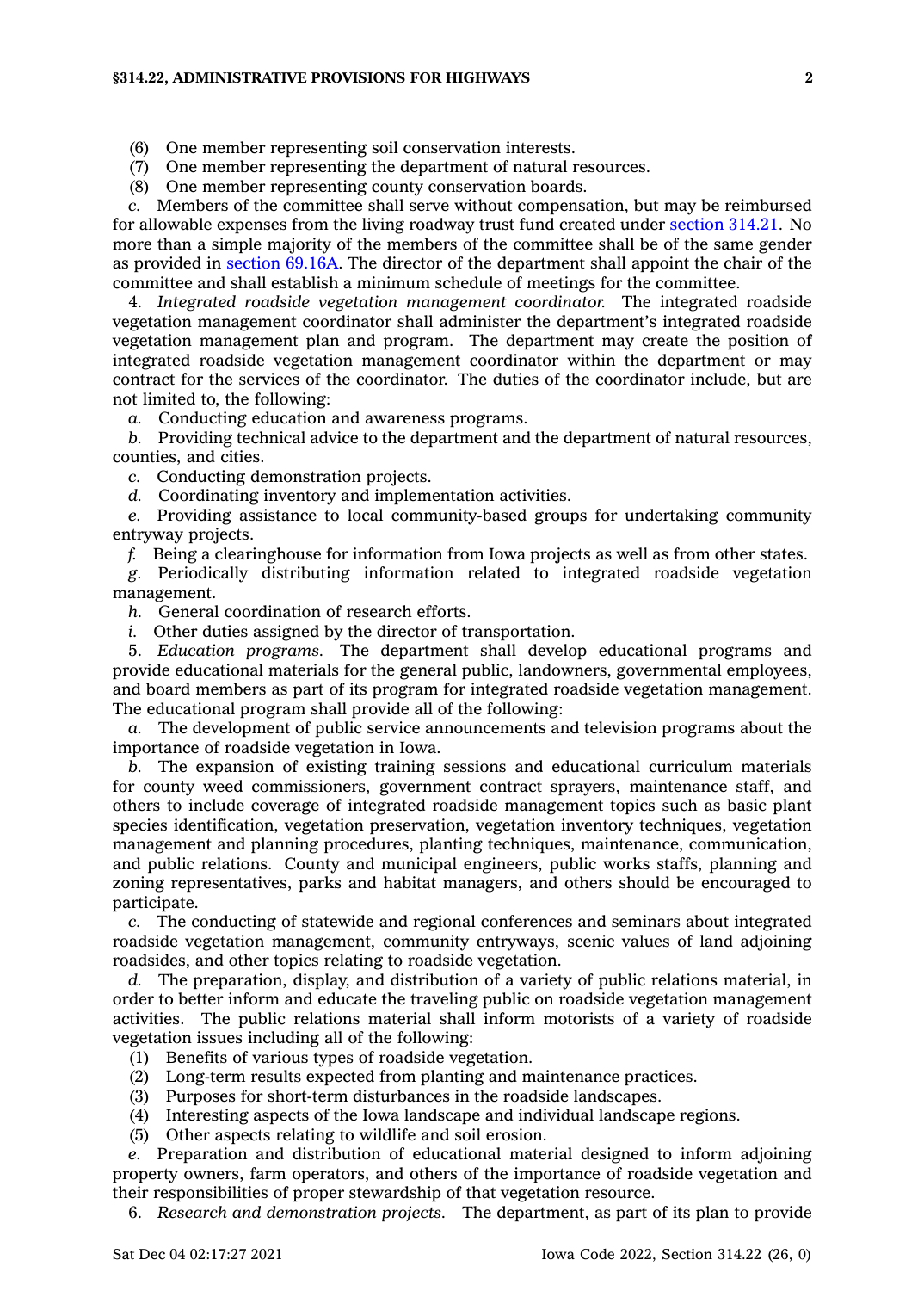## **§314.22, ADMINISTRATIVE PROVISIONS FOR HIGHWAYS 2**

- (6) One member representing soil conservation interests.
- (7) One member representing the department of natural resources.
- (8) One member representing county conservation boards.

*c.* Members of the committee shall serve without compensation, but may be reimbursed for allowable expenses from the living roadway trust fund created under [section](https://www.legis.iowa.gov/docs/code/314.21.pdf) 314.21. No more than <sup>a</sup> simple majority of the members of the committee shall be of the same gender as provided in [section](https://www.legis.iowa.gov/docs/code/69.16A.pdf) 69.16A. The director of the department shall appoint the chair of the committee and shall establish <sup>a</sup> minimum schedule of meetings for the committee.

4. *Integrated roadside vegetation management coordinator.* The integrated roadside vegetation management coordinator shall administer the department's integrated roadside vegetation management plan and program. The department may create the position of integrated roadside vegetation management coordinator within the department or may contract for the services of the coordinator. The duties of the coordinator include, but are not limited to, the following:

*a.* Conducting education and awareness programs.

*b.* Providing technical advice to the department and the department of natural resources, counties, and cities.

*c.* Conducting demonstration projects.

*d.* Coordinating inventory and implementation activities.

*e.* Providing assistance to local community-based groups for undertaking community entryway projects.

*f.* Being <sup>a</sup> clearinghouse for information from Iowa projects as well as from other states.

*g.* Periodically distributing information related to integrated roadside vegetation management.

*h.* General coordination of research efforts.

*i.* Other duties assigned by the director of transportation.

5. *Education programs.* The department shall develop educational programs and provide educational materials for the general public, landowners, governmental employees, and board members as part of its program for integrated roadside vegetation management. The educational program shall provide all of the following:

*a.* The development of public service announcements and television programs about the importance of roadside vegetation in Iowa.

*b.* The expansion of existing training sessions and educational curriculum materials for county weed commissioners, government contract sprayers, maintenance staff, and others to include coverage of integrated roadside management topics such as basic plant species identification, vegetation preservation, vegetation inventory techniques, vegetation management and planning procedures, planting techniques, maintenance, communication, and public relations. County and municipal engineers, public works staffs, planning and zoning representatives, parks and habitat managers, and others should be encouraged to participate.

*c.* The conducting of statewide and regional conferences and seminars about integrated roadside vegetation management, community entryways, scenic values of land adjoining roadsides, and other topics relating to roadside vegetation.

*d.* The preparation, display, and distribution of <sup>a</sup> variety of public relations material, in order to better inform and educate the traveling public on roadside vegetation management activities. The public relations material shall inform motorists of <sup>a</sup> variety of roadside vegetation issues including all of the following:

- (1) Benefits of various types of roadside vegetation.
- (2) Long-term results expected from planting and maintenance practices.
- (3) Purposes for short-term disturbances in the roadside landscapes.
- (4) Interesting aspects of the Iowa landscape and individual landscape regions.
- (5) Other aspects relating to wildlife and soil erosion.

*e.* Preparation and distribution of educational material designed to inform adjoining property owners, farm operators, and others of the importance of roadside vegetation and their responsibilities of proper stewardship of that vegetation resource.

6. *Research and demonstration projects.* The department, as part of its plan to provide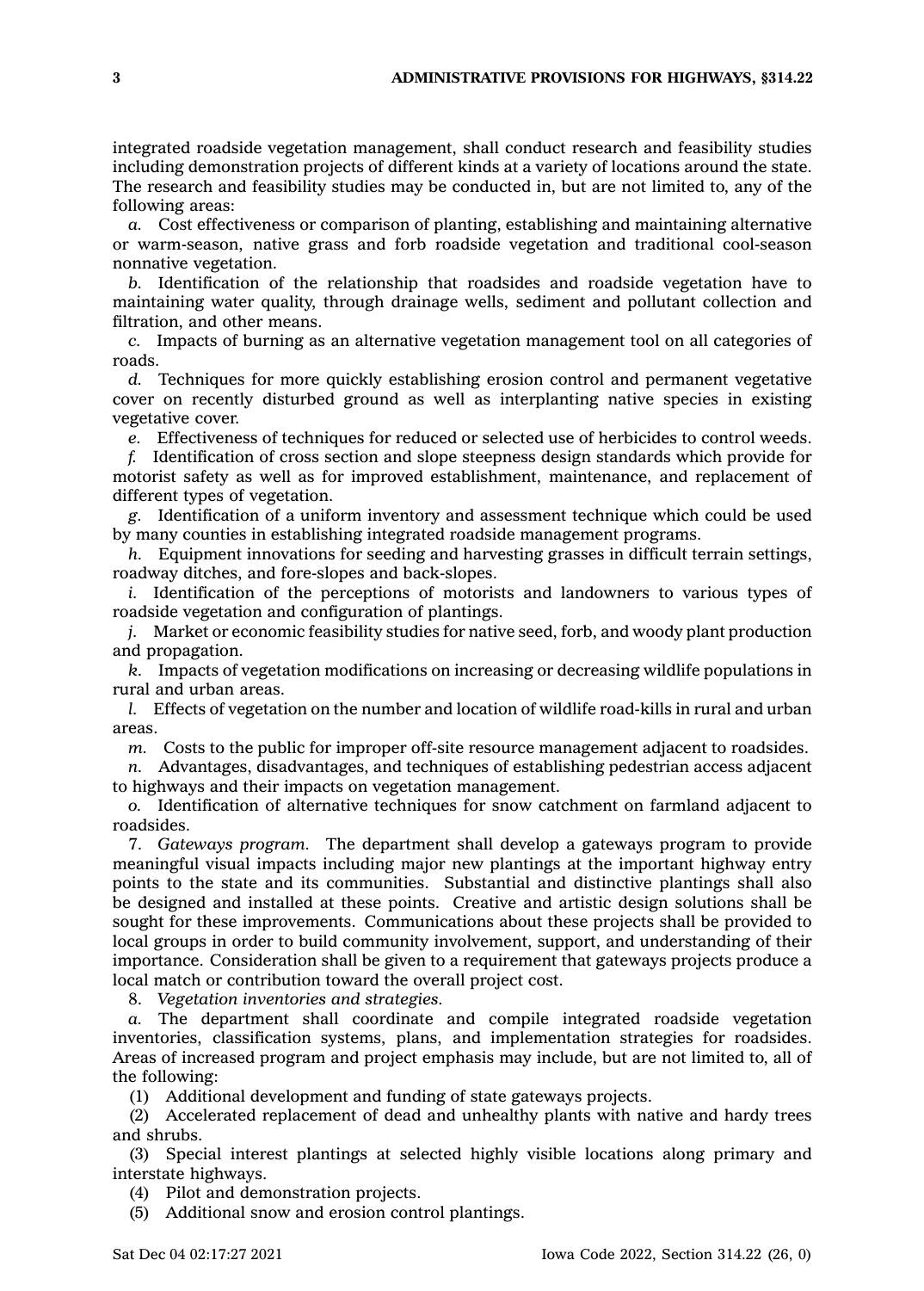integrated roadside vegetation management, shall conduct research and feasibility studies including demonstration projects of different kinds at <sup>a</sup> variety of locations around the state. The research and feasibility studies may be conducted in, but are not limited to, any of the following areas:

*a.* Cost effectiveness or comparison of planting, establishing and maintaining alternative or warm-season, native grass and forb roadside vegetation and traditional cool-season nonnative vegetation.

*b.* Identification of the relationship that roadsides and roadside vegetation have to maintaining water quality, through drainage wells, sediment and pollutant collection and filtration, and other means.

*c.* Impacts of burning as an alternative vegetation management tool on all categories of roads.

*d.* Techniques for more quickly establishing erosion control and permanent vegetative cover on recently disturbed ground as well as interplanting native species in existing vegetative cover.

*e.* Effectiveness of techniques for reduced or selected use of herbicides to control weeds.

*f.* Identification of cross section and slope steepness design standards which provide for motorist safety as well as for improved establishment, maintenance, and replacement of different types of vegetation.

*g.* Identification of <sup>a</sup> uniform inventory and assessment technique which could be used by many counties in establishing integrated roadside management programs.

*h.* Equipment innovations for seeding and harvesting grasses in difficult terrain settings, roadway ditches, and fore-slopes and back-slopes.

*i.* Identification of the perceptions of motorists and landowners to various types of roadside vegetation and configuration of plantings.

*j.* Market or economic feasibility studies for native seed, forb, and woody plant production and propagation.

*k.* Impacts of vegetation modifications on increasing or decreasing wildlife populations in rural and urban areas.

*l.* Effects of vegetation on the number and location of wildlife road-kills in rural and urban areas.

*m.* Costs to the public for improper off-site resource management adjacent to roadsides.

*n.* Advantages, disadvantages, and techniques of establishing pedestrian access adjacent to highways and their impacts on vegetation management.

*o.* Identification of alternative techniques for snow catchment on farmland adjacent to roadsides.

7. *Gateways program.* The department shall develop <sup>a</sup> gateways program to provide meaningful visual impacts including major new plantings at the important highway entry points to the state and its communities. Substantial and distinctive plantings shall also be designed and installed at these points. Creative and artistic design solutions shall be sought for these improvements. Communications about these projects shall be provided to local groups in order to build community involvement, support, and understanding of their importance. Consideration shall be given to <sup>a</sup> requirement that gateways projects produce <sup>a</sup> local match or contribution toward the overall project cost.

8. *Vegetation inventories and strategies.*

*a.* The department shall coordinate and compile integrated roadside vegetation inventories, classification systems, plans, and implementation strategies for roadsides. Areas of increased program and project emphasis may include, but are not limited to, all of the following:

(1) Additional development and funding of state gateways projects.

(2) Accelerated replacement of dead and unhealthy plants with native and hardy trees and shrubs.

(3) Special interest plantings at selected highly visible locations along primary and interstate highways.

(4) Pilot and demonstration projects.

(5) Additional snow and erosion control plantings.